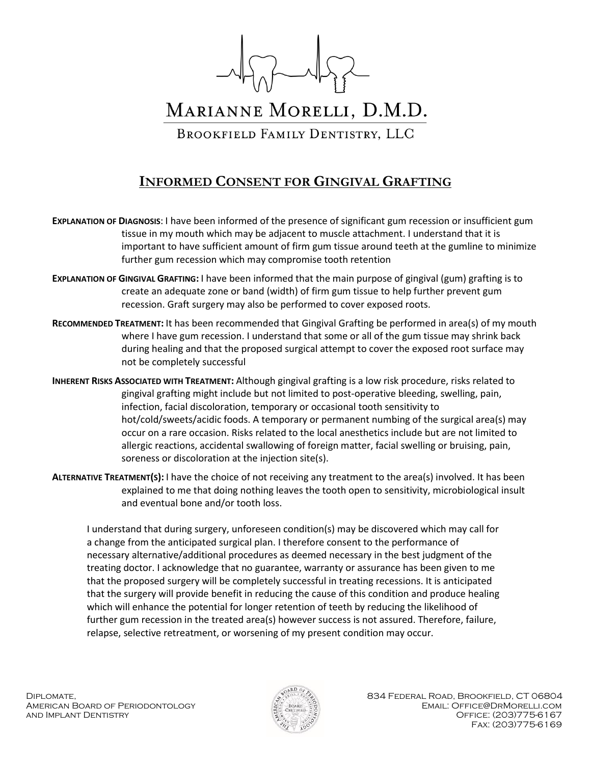

## MARIANNE MORELLI, D.M.D.

BROOKFIELD FAMILY DENTISTRY, LLC

## **INFORMED CONSENT FOR GINGIVAL GRAFTING**

**EXPLANATION OF DIAGNOSIS**: I have been informed of the presence of significant gum recession or insufficient gum tissue in my mouth which may be adjacent to muscle attachment. I understand that it is important to have sufficient amount of firm gum tissue around teeth at the gumline to minimize further gum recession which may compromise tooth retention

- **EXPLANATION OF GINGIVAL GRAFTING:** I have been informed that the main purpose of gingival (gum) grafting is to create an adequate zone or band (width) of firm gum tissue to help further prevent gum recession. Graft surgery may also be performed to cover exposed roots.
- **RECOMMENDED TREATMENT:** It has been recommended that Gingival Grafting be performed in area(s) of my mouth where I have gum recession. I understand that some or all of the gum tissue may shrink back during healing and that the proposed surgical attempt to cover the exposed root surface may not be completely successful
- **INHERENT RISKS ASSOCIATED WITH TREATMENT:** Although gingival grafting is a low risk procedure, risks related to gingival grafting might include but not limited to post-operative bleeding, swelling, pain, infection, facial discoloration, temporary or occasional tooth sensitivity to hot/cold/sweets/acidic foods. A temporary or permanent numbing of the surgical area(s) may occur on a rare occasion. Risks related to the local anesthetics include but are not limited to allergic reactions, accidental swallowing of foreign matter, facial swelling or bruising, pain, soreness or discoloration at the injection site(s).
- **ALTERNATIVE TREATMENT(S):** I have the choice of not receiving any treatment to the area(s) involved. It has been explained to me that doing nothing leaves the tooth open to sensitivity, microbiological insult and eventual bone and/or tooth loss.

I understand that during surgery, unforeseen condition(s) may be discovered which may call for a change from the anticipated surgical plan. I therefore consent to the performance of necessary alternative/additional procedures as deemed necessary in the best judgment of the treating doctor. I acknowledge that no guarantee, warranty or assurance has been given to me that the proposed surgery will be completely successful in treating recessions. It is anticipated that the surgery will provide benefit in reducing the cause of this condition and produce healing which will enhance the potential for longer retention of teeth by reducing the likelihood of further gum recession in the treated area(s) however success is not assured. Therefore, failure, relapse, selective retreatment, or worsening of my present condition may occur.